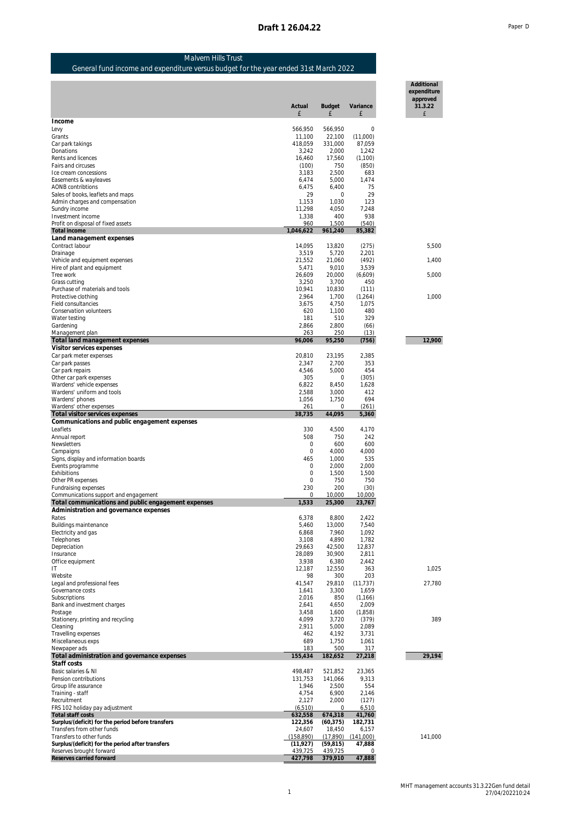**Additional expenditure approved 31.3.22**

# Malvern Hills Trust

### General fund income and expenditure versus budget for the year ended 31st March 2022

|                                                                     | Actual<br>f            | Budget<br>£            | Variance<br>£       | Auditional<br>expenditure<br>approved<br>31.3.22<br>£ |
|---------------------------------------------------------------------|------------------------|------------------------|---------------------|-------------------------------------------------------|
| Income                                                              |                        |                        |                     |                                                       |
| Levy<br>Grants                                                      | 566,950<br>11,100      | 566,950<br>22,100      | $\circ$<br>(11,000) |                                                       |
| Car park takings                                                    | 418,059                | 331,000                | 87,059              |                                                       |
| Donations                                                           | 3,242                  | 2,000                  | 1,242               |                                                       |
| Rents and licences<br>Fairs and circuses                            | 16,460                 | 17,560<br>750          | (1,100)             |                                                       |
| Ice cream concessions                                               | (100)<br>3,183         | 2,500                  | (850)<br>683        |                                                       |
| Easements & wayleaves                                               | 6,474                  | 5,000                  | 1,474               |                                                       |
| AONB contribtions                                                   | 6,475                  | 6.400                  | 75                  |                                                       |
| Sales of books, leaflets and maps<br>Admin charges and compensation | 29<br>1,153            | 0<br>1,030             | 29<br>123           |                                                       |
| Sundry income                                                       | 11,298                 | 4,050                  | 7.248               |                                                       |
| Investment income                                                   | 1,338                  | 400                    | 938                 |                                                       |
| Profit on disposal of fixed assets                                  | 960                    | 1,500                  | (540)               |                                                       |
| Total income<br>Land management expenses                            | 1,046,622              | 961,240                | 85,382              |                                                       |
| Contract labour                                                     | 14,095                 | 13,820                 | (275)               | 5,500                                                 |
| Drainage                                                            | 3,519                  | 5,720                  | 2,201               |                                                       |
| Vehicle and equipment expenses                                      | 21,552                 | 21,060                 | (492)               | 1,400                                                 |
| Hire of plant and equipment<br>Tree work                            | 5,471<br>26,609        | 9,010<br>20,000        | 3,539<br>(6,609)    | 5,000                                                 |
| Grass cutting                                                       | 3,250                  | 3,700                  | 450                 |                                                       |
| Purchase of materials and tools                                     | 10,941                 | 10,830                 | (111)               |                                                       |
| Protective clothing                                                 | 2,964                  | 1,700                  | (1,264)             | 1,000                                                 |
| Field consultancies<br>Conservation volunteers                      | 3,675<br>620           | 4,750<br>1,100         | 1,075<br>480        |                                                       |
| Water testing                                                       | 181                    | 510                    | 329                 |                                                       |
| Gardening                                                           | 2,866                  | 2,800                  | (66)                |                                                       |
| Management plan                                                     | 263<br>96,006          | 250<br>95,250          | (13)<br>(756)       | 12,900                                                |
| Total land management expenses<br>Visitor services expenses         |                        |                        |                     |                                                       |
| Car park meter expenses                                             | 20,810                 | 23,195                 | 2,385               |                                                       |
| Car park passes                                                     | 2,347                  | 2,700                  | 353                 |                                                       |
| Car park repairs                                                    | 4,546                  | 5,000                  | 454                 |                                                       |
| Other car park expenses<br>Wardens' vehicle expenses                | 305<br>6,822           | 0<br>8,450             | (305)<br>1,628      |                                                       |
| Wardens' uniform and tools                                          | 2,588                  | 3,000                  | 412                 |                                                       |
| Wardens' phones                                                     | 1,056                  | 1,750                  | 694                 |                                                       |
| Wardens' other expenses<br>Total visitor services expenses          | 261<br>38,735          | 0<br>44,095            | (261)<br>5,360      |                                                       |
| Communications and public engagement expenses                       |                        |                        |                     |                                                       |
| Leaflets                                                            | 330                    | 4,500                  | 4,170               |                                                       |
| Annual report                                                       | 508                    | 750                    | 242                 |                                                       |
| Newsletters<br>Campaigns                                            | 0<br>0                 | 600<br>4,000           | 600<br>4,000        |                                                       |
| Signs, display and information boards                               | 465                    | 1,000                  | 535                 |                                                       |
| Events programme                                                    | 0                      | 2,000                  | 2,000               |                                                       |
| Exhibitions                                                         | $\circ$                | 1,500                  | 1,500               |                                                       |
| Other PR expenses<br>Fundraising expenses                           | 0<br>230               | 750<br>200             | 750<br>(30)         |                                                       |
| Communications support and engagement                               | 0                      | 10,000                 | 10,000              |                                                       |
| Total communications and public engagement expenses                 | 1,533                  | 25,300                 | 23,767              |                                                       |
| Administration and governance expenses                              |                        |                        |                     |                                                       |
| Rates<br>Buildings maintenance                                      | 6.378<br>5,460         | 8.800<br>13,000        | 2.422<br>7,540      |                                                       |
| Electricity and gas                                                 | 6,868                  | 7,960                  | 1,092               |                                                       |
| Telephones                                                          | 3,108                  | 4,890                  | 1,782               |                                                       |
| Depreciation                                                        | 29,663                 | 42,500                 | 12,837              |                                                       |
| Insurance<br>Office equipment                                       | 28.089<br>3,938        | 30,900<br>6,380        | 2,811<br>2,442      |                                                       |
| ΙT                                                                  | 12,187                 | 12,550                 | 363                 | 1,025                                                 |
| Website                                                             | 98                     | 300                    | 203                 |                                                       |
| Legal and professional fees<br>Governance costs                     | 41,547<br>1,641        | 29,810<br>3,300        | (11, 737)<br>1,659  | 27,780                                                |
| Subscriptions                                                       | 2,016                  | 850                    | (1, 166)            |                                                       |
| Bank and investment charges                                         | 2,641                  | 4,650                  | 2,009               |                                                       |
| Postage                                                             | 3,458                  | 1,600                  | (1,858)             |                                                       |
| Stationery, printing and recycling<br>Cleaning                      | 4,099<br>2,911         | 3,720<br>5,000         | (379)<br>2,089      | 389                                                   |
| Travelling expenses                                                 | 462                    | 4,192                  | 3,731               |                                                       |
| Miscellaneous exps                                                  | 689                    | 1,750                  | 1,061               |                                                       |
| Newpaper ads                                                        | 183<br>155,434         | 500                    | 317                 | 29,194                                                |
| Total administration and governance expenses<br>Staff costs         |                        | 182,652                | 27,218              |                                                       |
| Basic salaries & NI                                                 | 498,487                | 521,852                | 23,365              |                                                       |
| Pension contributions                                               | 131,753                | 141,066                | 9,313               |                                                       |
| Group life assurance                                                | 1,946                  | 2,500                  | 554                 |                                                       |
| Training - staff<br>Recruitment                                     | 4,754<br>2,127         | 6,900<br>2,000         | 2,146<br>(127)      |                                                       |
| FRS 102 holiday pay adjustment                                      | (6, 510)               | 0                      | 6,510               |                                                       |
| Total staff costs                                                   | 632,558                | 674,318                | 41,760              |                                                       |
| Surplus/(deficit) for the period before transfers                   | 122,356                | (60, 375)              | 182,731             |                                                       |
| Transfers from other funds<br>Transfers to other funds              |                        |                        |                     |                                                       |
|                                                                     | 24,607                 | 18,450                 | 6,157               |                                                       |
| Surplus/(deficit) for the period after transfers                    | (158,890)<br>(11, 927) | (17, 890)<br>(59, 815) | (141,000)<br>47,888 |                                                       |
| Reserves brought forward<br>Reserves carried forward                | 439,725<br>427,798     | 439,725<br>379,910     | 0<br>47,888         | 141,000                                               |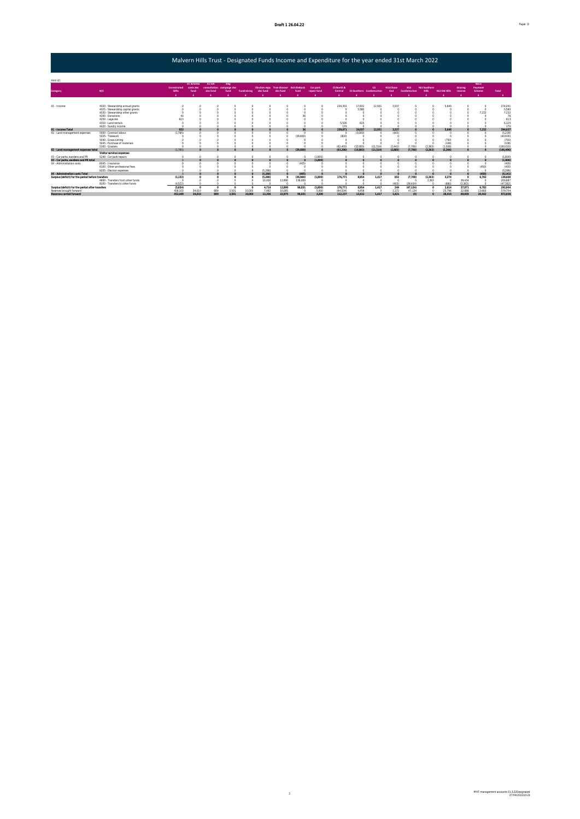## Malvern Hills Trust - Designated Funds Income and Expenditure for the year ended 31st March 2022

| Amt (E)                                           |                                   |                              |                                       |                                                 |             |             |          |                                                    |          |                         |                       |                                 |              |                         |                            |                              |                      |                    |                            |           |
|---------------------------------------------------|-----------------------------------|------------------------------|---------------------------------------|-------------------------------------------------|-------------|-------------|----------|----------------------------------------------------|----------|-------------------------|-----------------------|---------------------------------|--------------|-------------------------|----------------------------|------------------------------|----------------------|--------------------|----------------------------|-----------|
| Category                                          | N/C                               | <b>Unrestricted</b><br>Gifts | <b>CC Scheme</b><br>costs des<br>fund | CC Sch<br>consultation campaign des<br>des fund | Dog<br>fund | Fundraising | des fund | Election exos Tree disease Ash Dieback<br>des fund | fund     | Car park<br>repair fund | CS North &<br>Central | <b>CS Southern Castlemorton</b> | $\mathbf{c}$ | <b>HIS Chase</b><br>End | <b>HLS</b><br>Castlemortor | <b>HLS Southern</b><br>Hills | <b>HLS Old Hills</b> | Grazing<br>reserve | Basic<br>Payment<br>Scheme | Total     |
|                                                   |                                   |                              |                                       |                                                 |             |             |          |                                                    |          |                         |                       |                                 |              |                         |                            |                              |                      |                    |                            |           |
|                                                   |                                   |                              |                                       |                                                 |             |             |          |                                                    |          |                         |                       |                                 |              |                         |                            |                              |                      |                    |                            |           |
| 01 - Income                                       | 4020 - Stewardship annual grants  |                              |                                       |                                                 |             |             |          |                                                    |          |                         | 234,301               | 17.832                          | 12.931       | 3.537                   |                            |                              | 5640                 |                    | $\Omega$                   | 274.241   |
|                                                   | 4025 - Stewardship capital grants |                              |                                       |                                                 |             |             |          |                                                    |          |                         |                       | 5.580                           |              |                         |                            |                              |                      |                    | $\Omega$                   | 5.580     |
|                                                   | 4030 - Stewardship other grants   |                              |                                       |                                                 |             |             |          |                                                    |          |                         |                       |                                 |              |                         |                            |                              |                      |                    | 7.232                      | 7,232     |
|                                                   | 4200 - Donations                  |                              |                                       |                                                 |             |             |          |                                                    |          |                         |                       |                                 |              |                         |                            |                              |                      |                    | $\sim$                     | 76        |
|                                                   | 4250 - Legacies                   |                              |                                       |                                                 |             |             |          |                                                    |          |                         |                       |                                 |              |                         |                            |                              |                      |                    |                            | 613       |
|                                                   | 4310 - Land rentals               |                              |                                       |                                                 |             |             |          |                                                    |          |                         | 5.500                 | 625                             |              |                         |                            |                              |                      |                    |                            | 6.125     |
|                                                   | 4420 - Sundry income              |                              |                                       |                                                 |             |             |          |                                                    |          |                         | 170                   |                                 |              |                         |                            |                              |                      |                    |                            | 170       |
| 01 - Income Total                                 |                                   | 653                          |                                       |                                                 |             |             |          |                                                    |          |                         | 239.971               | 24.037                          | 12.931       | 3.537                   |                            |                              | 5640                 |                    | 7.232                      | 294.037   |
| 02 - Land management expenses                     | 5000 - Contract labour            | (1.785)                      |                                       |                                                 |             |             |          |                                                    |          |                         |                       | (3.000)                         |              | (443)                   |                            |                              |                      |                    |                            | (5.228)   |
|                                                   | 5035 . Treework                   |                              |                                       |                                                 |             |             |          |                                                    | (39.600) |                         | (800)                 |                                 |              |                         |                            |                              |                      |                    |                            | (40.400)  |
|                                                   | 5040 - Grass cutting              |                              |                                       |                                                 |             |             |          |                                                    |          |                         |                       |                                 |              |                         |                            |                              | (750)                |                    |                            | (750)     |
|                                                   | 5045 - Purchase of materials      |                              |                                       |                                                 |             |             |          |                                                    |          |                         |                       |                                 |              |                         |                            |                              | (108)                |                    |                            | (108)     |
|                                                   | 5100 - Graziers                   |                              |                                       |                                                 |             |             |          |                                                    |          |                         | (62, 400)             | (12.083)                        | (11.514)     | (2.442)                 | (7.700)                    | (2.363)                      | (1.508)              |                    |                            | (100.010) |
| 02 - Land management expenses total               |                                   | (1.785)                      |                                       |                                                 |             |             |          | $\Omega$                                           | (39.600) |                         | (63,200)              | (15.083)                        | (11.514)     | (2.885)                 | (7.700)                    | (2.363)                      | (2.366)              |                    | $\Omega$                   | (146.496) |
|                                                   | Visitor services expenses         |                              |                                       |                                                 |             |             |          |                                                    |          |                         |                       |                                 |              |                         |                            |                              |                      |                    |                            |           |
| 03 - Car parks, wardens and PR                    | 5240 - Car park repairs           |                              |                                       |                                                 |             |             |          |                                                    |          | (1.800)                 |                       |                                 |              | $\alpha$                |                            |                              |                      |                    | $\Omega$                   | (1.800)   |
| 03 - Car parks, wardens and PR total              |                                   |                              | $\triangle$                           |                                                 |             | $\Omega$    |          | $\Omega$                                           | $\Omega$ | (1.800)                 |                       | $\triangle$                     |              | $\Omega$                |                            |                              | $\sim$               |                    | $\Omega$                   | (1,800)   |
| 04 - Administration costs                         | 6045 - Insurance                  |                              |                                       |                                                 |             |             |          |                                                    | (405)    |                         |                       |                                 |              |                         |                            |                              |                      |                    |                            | (405)     |
|                                                   | 6100 - Other professional fees    |                              |                                       |                                                 |             |             |          |                                                    |          |                         |                       |                                 |              |                         |                            |                              |                      |                    | (450)                      | (450)     |
|                                                   | 6205 - Election expenses          |                              |                                       |                                                 |             |             | (5.286)  |                                                    |          |                         |                       |                                 |              |                         |                            |                              |                      |                    | -O                         | (5.286)   |
| 04 - Adminstration costs Total                    |                                   |                              |                                       |                                                 |             |             | (5.286)  |                                                    | (405)    |                         |                       |                                 |              |                         |                            |                              |                      |                    | (450)                      | (6, 141)  |
| Surplus/(deficit) for the period before transfers |                                   | (1.132)                      |                                       |                                                 |             |             | (5.286)  | $\sim$                                             | (39.969) | (1.800)                 | 176.771               | 8.954                           | 1.417        | 652                     | (7.700)                    | (2.363)                      | 3.274                |                    | 6.782                      | 139,600   |
|                                                   | 4600 - Transfers from other funds |                              |                                       |                                                 |             |             | 10,000   | 12.890                                             | 136,000  |                         |                       |                                 |              | -n                      |                            | 2363                         | $\sqrt{2}$           | 39.434             | $\Omega$                   | 200.687   |
|                                                   | 8100 - Transfers to other funds   | (4.522)                      |                                       |                                                 |             |             |          |                                                    |          |                         |                       |                                 |              | ran 30                  | (39.434)                   |                              | (660)                | (2.363)            |                            | (47, 382) |
| Surplus/(deficit) for the period after transfers  |                                   | (5.654)                      | $\Omega$                              |                                                 | n           |             | 4.714    | 12.890                                             | 96.031   | (1.800)                 | 176.771               | 8.954                           | 1.417        | 249                     | (47.134)                   |                              | 2614<br>$\Omega$     | 37.071             | 6.782                      | 292.904   |
| Reserves brought forward                          |                                   | 458.103                      | 34.010                                | 889                                             | 3.501       | 10.000      | 7.492    | 10.085                                             |          | 5.000                   | (64.534)              | 4,458                           |              | 1.172                   | 47.134                     |                              | 25.796               | 22.988             | 13,660                     | 579.754   |
| Reserves carried forward                          |                                   | 452.449                      | 34,010                                | 889                                             | 3.501       | 10000       | 12:206   | 22.975                                             | 96.031   | 3.200                   | 112.237               | 13,412                          | 1.417        | 1.421                   | m                          |                              | 28,410               | 60.059             | 20.442                     | 872,658   |

2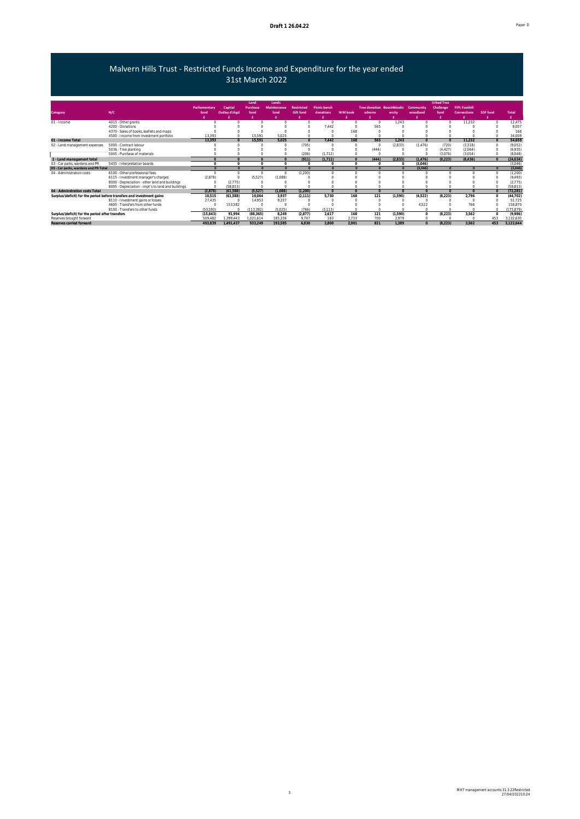### Malvern Hills Trust - Restricted Funds Income and Expenditure for the year ended 31st March 2022

|                                                  |                                                                        |               |               | Land      | Lands              |                   |                     |                 |                                   |          |           | <b>Urbad Tree</b> |                      |            |              |
|--------------------------------------------------|------------------------------------------------------------------------|---------------|---------------|-----------|--------------------|-------------------|---------------------|-----------------|-----------------------------------|----------|-----------|-------------------|----------------------|------------|--------------|
|                                                  |                                                                        | Parliamentary | Capital       | Purchase  | <b>Maintenance</b> | <b>Restricted</b> | <b>Picnic bench</b> |                 | <b>Tree donation Boost4biodiv</b> |          | Community | Challenge         | <b>FIPL Foothill</b> |            |              |
| Category                                         | N/C                                                                    | fund          | Outlay d'chgd | fund      | fund               | <b>Gift fund</b>  | donations           | <b>NIM book</b> | scheme                            | ersity   | woodland  | fund              | <b>Connections</b>   | SDF fund   | <b>Total</b> |
|                                                  |                                                                        |               |               |           |                    |                   |                     |                 |                                   |          |           |                   |                      |            |              |
| 01 - Income                                      | 4015 - Other grants                                                    |               |               |           |                    |                   | $\Omega$            | $\Omega$        | $\Omega$                          | 1.243    |           |                   | 11,232               | $\Omega$   | 12,475       |
|                                                  | 4200 - Donations                                                       |               |               |           |                    |                   | 7.442               | $\Omega$        | 565                               |          |           |                   |                      |            | 8.007        |
|                                                  | 4370 - Sales of books, leaflets and maps                               |               |               |           |                    |                   |                     | 168             |                                   |          |           |                   |                      |            | 168          |
|                                                  | 4500 - Income from investment portfolio                                | 13.393        |               | 15.591    | 5.025              |                   |                     | $\Omega$        |                                   |          |           |                   |                      |            | 34,009       |
| 01 - Income Total                                |                                                                        | 13.393        |               | 15.591    | 5.025              |                   | 7.442               | 168             | 565                               | 1.243    | $\Omega$  |                   | 11.232               | $\theta$   | 54,659       |
| 02 - Land management expenses                    | 5000 - Contract labour                                                 |               |               |           |                    | (705)             | $\Omega$            | $\circ$         |                                   | (2,833)  | (1,476)   | (720)             | (3, 318)             | $\Omega$   | (9,052)      |
|                                                  | 5036 - Tree planting                                                   |               |               |           |                    |                   |                     | $\Omega$        | (444)                             |          |           | (4, 427)          | (2,064)              |            | (6,935)      |
|                                                  | 5045 - Purchase of materials                                           |               |               |           |                    | (206)             | (1, 712)            | $\circ$         |                                   |          |           | (3,076)           | (3,054)              | $\Omega$   | (8,048)      |
| 2 - Land management total                        |                                                                        |               |               | $\Omega$  | $\Omega$           | (911)             | (1.712)             | $\Omega$        | (444)                             | (2.833)  | (1.476)   | (8.223)           | (8.436)              | $\Omega$   | (24, 034)    |
| 03 - Car parks, wardens and PR                   | 5435 - Interpretation boards                                           |               | $\sim$        | $\Omega$  | $\Omega$           |                   |                     | $\Omega$        |                                   |          | (3.046)   |                   |                      |            | (3.046)      |
| 03 - Car parks, wardens and PR Total             |                                                                        |               |               |           |                    |                   | $\sqrt{2}$          | $\Omega$        | $\Omega$                          |          | (3,046)   |                   |                      | $\sqrt{2}$ | (3,046)      |
| 04 - Administration costs                        | 6100 - Other professional fees                                         |               |               | $\Omega$  | $\Omega$           | (1,200)           | $\Omega$            | $\cap$          |                                   |          |           |                   |                      | $\Omega$   | (1,200)      |
|                                                  | 6115 - Investment manager's charges                                    | (2,878)       |               | (5,527)   | (1,088)            |                   |                     |                 |                                   |          |           |                   |                      |            | (9, 493)     |
|                                                  | 8000 - Depreciation - other land and buildings                         |               | (2,775)       |           |                    |                   |                     |                 |                                   |          |           |                   |                      |            | (2,775)      |
|                                                  | 8005 - Depreciation - impt's to land and buildings                     |               | (58.813)      |           |                    |                   |                     |                 |                                   |          |           |                   |                      |            | (58.813)     |
| 04 - Adminstration costs Total                   |                                                                        | (2.878)       | (61.588)      | (5.527)   | (1,088)            | (1.200)           | $\Omega$            | $\Omega$        |                                   | $\Omega$ |           |                   | $\Omega$             | $\Omega$   | (72, 281)    |
|                                                  | Surplus/(deficit) for the period before transfers and investment gains | 10,515        | (61,588)      | 10.064    | 3.937              | (2, 111)          | 5.730               | 168             | 121                               | (1,590)  | (4,522)   | (8,223)           | 2.796                | $\Omega$   | (44, 702)    |
|                                                  | 8110 - Investment gains or losses                                      | 27.435        |               | 14.953    | 9.337              |                   |                     | $\Omega$        |                                   |          |           |                   |                      |            | 51.725       |
|                                                  | 4600 - Transfers from other funds                                      |               | 153.582       | $\Omega$  |                    |                   |                     |                 |                                   |          | 4.522     |                   | 766                  |            | 158.870      |
|                                                  | 8100 - Transfers to other funds                                        | (53.593)      |               | (113.382) | (5.025)            | (766)             | (3, 113)            | $\Omega$        |                                   |          |           |                   |                      | $\Omega$   | (175, 879)   |
| Surplus/(deficit) for the period after transfers |                                                                        | (15,643)      | 91.994        | (88, 365) | 8.249              | (2, 877)          | 2.617               | 168             | 121                               | (1,590)  | $\Omega$  | (8,223)           | 3.562                | $\circ$    | (9,986)      |
| Reserves brought forward                         |                                                                        | 509.482       | 399.443       | 1.021.614 | 185,336            | 9.707             | 183                 | 2.733           | 700                               | 2.979    |           |                   |                      | 453        | 3,132,630    |
| Reserves carried forward                         |                                                                        | 493.839       | 1.491.437     | 933.249   | 193.585            | 6.830             | 2.800               | 2.901           | 821                               | 1.389    | $\Omega$  | (8.223)           | 3.562                | 453        | 3.122.644    |